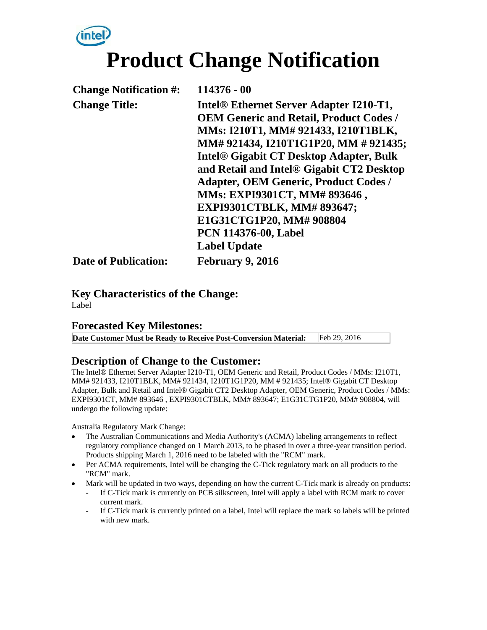# inte **Product Change Notification**

| <b>Change Notification #:</b> | 114376 - 00                                               |
|-------------------------------|-----------------------------------------------------------|
| <b>Change Title:</b>          | Intel <sup>®</sup> Ethernet Server Adapter I210-T1,       |
|                               | <b>OEM Generic and Retail, Product Codes /</b>            |
|                               | MMs: I210T1, MM# 921433, I210T1BLK,                       |
|                               | MM# 921434, I210T1G1P20, MM # 921435;                     |
|                               | <b>Intel<sup>®</sup> Gigabit CT Desktop Adapter, Bulk</b> |
|                               | and Retail and Intel® Gigabit CT2 Desktop                 |
|                               | <b>Adapter, OEM Generic, Product Codes /</b>              |
|                               | MMs: EXPI9301CT, MM# 893646,                              |
|                               | EXPI9301CTBLK, MM# 893647;                                |
|                               | E1G31CTG1P20, MM# 908804                                  |
|                               | <b>PCN 114376-00, Label</b>                               |
|                               | <b>Label Update</b>                                       |
| <b>Date of Publication:</b>   | <b>February 9, 2016</b>                                   |

**Key Characteristics of the Change:** Label

#### **Forecasted Key Milestones:**

**Date Customer Must be Ready to Receive Post-Conversion Material:** Feb 29, 2016

#### **Description of Change to the Customer:**

The Intel® Ethernet Server Adapter I210-T1, OEM Generic and Retail, Product Codes / MMs: I210T1, MM# 921433, I210T1BLK, MM# 921434, I210T1G1P20, MM # 921435; Intel® Gigabit CT Desktop Adapter, Bulk and Retail and Intel® Gigabit CT2 Desktop Adapter, OEM Generic, Product Codes / MMs: EXPI9301CT, MM# 893646 , EXPI9301CTBLK, MM# 893647; E1G31CTG1P20, MM# 908804, will undergo the following update:

Australia Regulatory Mark Change:

- The Australian Communications and Media Authority's (ACMA) labeling arrangements to reflect regulatory compliance changed on 1 March 2013, to be phased in over a three-year transition period. Products shipping March 1, 2016 need to be labeled with the "RCM" mark.
- Per ACMA requirements, Intel will be changing the C-Tick regulatory mark on all products to the "RCM" mark.
- Mark will be updated in two ways, depending on how the current C-Tick mark is already on products:
	- If C-Tick mark is currently on PCB silkscreen, Intel will apply a label with RCM mark to cover current mark.
	- If C-Tick mark is currently printed on a label, Intel will replace the mark so labels will be printed with new mark.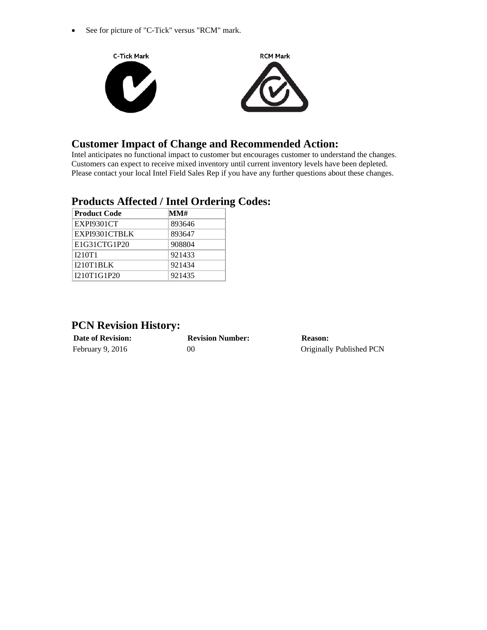• See for picture of "C-Tick" versus "RCM" mark.



### **Customer Impact of Change and Recommended Action:**

Intel anticipates no functional impact to customer but encourages customer to understand the changes. Customers can expect to receive mixed inventory until current inventory levels have been depleted. Please contact your local Intel Field Sales Rep if you have any further questions about these changes.

#### **Products Affected / Intel Ordering Codes:**

| <b>Product Code</b> | MM#    |  |
|---------------------|--------|--|
| EXPI9301CT          | 893646 |  |
| EXPI9301CTBLK       | 893647 |  |
| E1G31CTG1P20        | 908804 |  |
| <b>I210T1</b>       | 921433 |  |
| <b>I210T1BLK</b>    | 921434 |  |
| I210T1G1P20         | 921435 |  |

## **PCN Revision History:**

| <b>Date of Revision:</b> | <b>Revision Number:</b> | Reason:                  |
|--------------------------|-------------------------|--------------------------|
| February 9, 2016         | OC                      | Originally Published PCN |